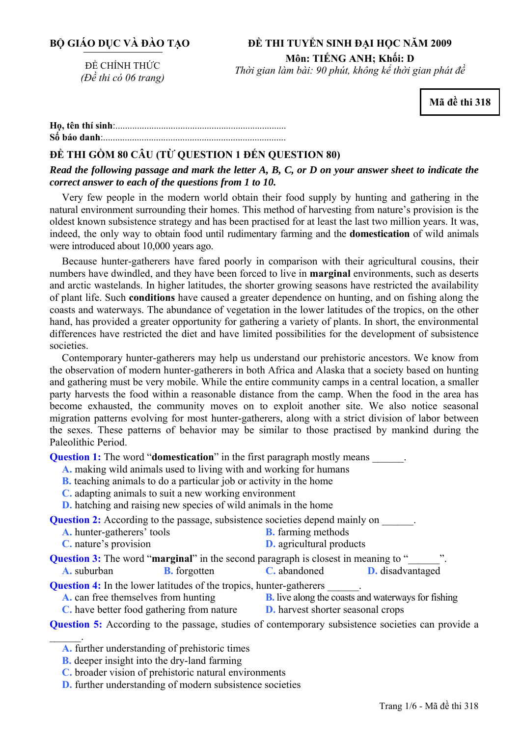# **ĐỀ THI TUYỂN SINH ĐẠI HỌC NĂM 2009 Môn: TIẾNG ANH; Khối: D**

ĐỀ CHÍNH THỨC *(Đề thi có 06 trang)* 

*Thời gian làm bài: 90 phút, không kể thời gian phát đề*

**Mã đề thi 318** 

**<sup>H</sup>ọ, tên thí sinh**:.......................................................................... **Số báo danh**:............................................................................

# **ĐỀ THI GỒM 80 CÂU (TỪ QUESTION 1 ĐẾN QUESTION 80)**

*Read the following passage and mark the letter A, B, C, or D on your answer sheet to indicate the correct answer to each of the questions from 1 to 10.* 

Very few people in the modern world obtain their food supply by hunting and gathering in the natural environment surrounding their homes. This method of harvesting from nature's provision is the oldest known subsistence strategy and has been practised for at least the last two million years. It was, indeed, the only way to obtain food until rudimentary farming and the **domestication** of wild animals were introduced about 10,000 years ago.

Because hunter-gatherers have fared poorly in comparison with their agricultural cousins, their numbers have dwindled, and they have been forced to live in **marginal** environments, such as deserts and arctic wastelands. In higher latitudes, the shorter growing seasons have restricted the availability of plant life. Such **conditions** have caused a greater dependence on hunting, and on fishing along the coasts and waterways. The abundance of vegetation in the lower latitudes of the tropics, on the other hand, has provided a greater opportunity for gathering a variety of plants. In short, the environmental differences have restricted the diet and have limited possibilities for the development of subsistence societies.

Contemporary hunter-gatherers may help us understand our prehistoric ancestors. We know from the observation of modern hunter-gatherers in both Africa and Alaska that a society based on hunting and gathering must be very mobile. While the entire community camps in a central location, a smaller party harvests the food within a reasonable distance from the camp. When the food in the area has become exhausted, the community moves on to exploit another site. We also notice seasonal migration patterns evolving for most hunter-gatherers, along with a strict division of labor between the sexes. These patterns of behavior may be similar to those practised by mankind during the Paleolithic Period.

**Question 1:** The word "**domestication**" in the first paragraph mostly means  $\qquad \qquad$ .

- **A.** making wild animals used to living with and working for humans
- **B.** teaching animals to do a particular job or activity in the home
- **C.** adapting animals to suit a new working environment

**D.** hatching and raising new species of wild animals in the home

**Question 2:** According to the passage, subsistence societies depend mainly on \_\_\_\_\_\_.

- **A.** hunter-gatherers' tools **B.** farming methods
- **C.** nature's provision **D.** agricultural products

**Question 3:** The word "**marginal**" in the second paragraph is closest in meaning to "

**A.** suburban **B.** forgotten **C.** abandoned **D.** disadvantaged

**Question 4:** In the lower latitudes of the tropics, hunter-gatherers \_\_\_\_\_\_\_.

**A.** can free themselves from hunting **B.** live along the coasts and waterways for fishing

 $\mathcal{L}_\mathrm{max}$ 

**C.** have better food gathering from nature **D.** harvest shorter seasonal crops

**Question 5:** According to the passage, studies of contemporary subsistence societies can provide a

**A.** further understanding of prehistoric times

**B.** deeper insight into the dry-land farming

**C.** broader vision of prehistoric natural environments

**D.** further understanding of modern subsistence societies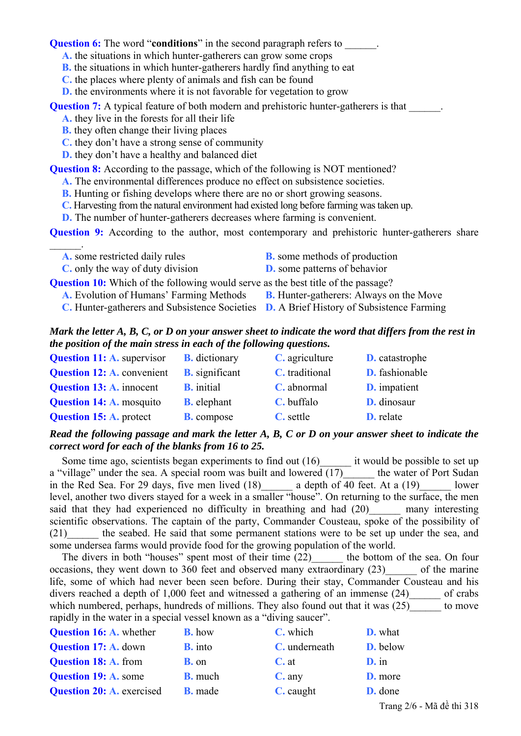**Question 6:** The word "**conditions**" in the second paragraph refers to

- **A.** the situations in which hunter-gatherers can grow some crops
- **B.** the situations in which hunter-gatherers hardly find anything to eat
- **C.** the places where plenty of animals and fish can be found
- **D.** the environments where it is not favorable for vegetation to grow

**Question 7:** A typical feature of both modern and prehistoric hunter-gatherers is that

- **A.** they live in the forests for all their life
- **B.** they often change their living places
- **C.** they don't have a strong sense of community
- **D.** they don't have a healthy and balanced diet

**Question 8:** According to the passage, which of the following is NOT mentioned?

- **A.** The environmental differences produce no effect on subsistence societies.
- **B.** Hunting or fishing develops where there are no or short growing seasons.
- **C.** Harvesting from the natural environment had existed long before farming was taken up.
- **D.** The number of hunter-gatherers decreases where farming is convenient.

**Question 9:** According to the author, most contemporary and prehistoric hunter-gatherers share

- $\mathcal{L}=\mathcal{L}$ **A.** some restricted daily rules **B.** some methods of production
	- **C.** only the way of duty division **D.** some patterns of behavior

**Question 10:** Which of the following would serve as the best title of the passage?

- **A.** Evolution of Humans' Farming Methods **B.** Hunter-gatherers: Always on the Move
- **C.** Hunter-gatherers and Subsistence Societies **D.** A Brief History of Subsistence Farming

## *Mark the letter A, B, C, or D on your answer sheet to indicate the word that differs from the rest in the position of the main stress in each of the following questions.*

| <b>Question 11: A. supervisor</b> | <b>B.</b> dictionary  | C. agriculture | <b>D.</b> catastrophe |
|-----------------------------------|-----------------------|----------------|-----------------------|
| <b>Question 12: A. convenient</b> | <b>B.</b> significant | C. traditional | D. fashionable        |
| <b>Question 13: A. innocent</b>   | <b>B.</b> initial     | C. abnormal    | <b>D.</b> impatient   |
| <b>Question 14: A. mosquito</b>   | <b>B.</b> elephant    | C. buffalo     | D. dinosaur           |
| <b>Question 15: A. protect</b>    | <b>B.</b> compose     | C. settle      | <b>D.</b> relate      |

#### *Read the following passage and mark the letter A, B, C or D on your answer sheet to indicate the correct word for each of the blanks from 16 to 25.*

Some time ago, scientists began experiments to find out (16) it would be possible to set up a "village" under the sea. A special room was built and lowered (17) the water of Port Sudan in the Red Sea. For 29 days, five men lived  $(18)$  a depth of 40 feet. At a  $(19)$  lower level, another two divers stayed for a week in a smaller "house". On returning to the surface, the men said that they had experienced no difficulty in breathing and had  $(20)$  many interesting scientific observations. The captain of the party, Commander Cousteau, spoke of the possibility of (21)\_\_\_\_\_\_ the seabed. He said that some permanent stations were to be set up under the sea, and some undersea farms would provide food for the growing population of the world.

The divers in both "houses" spent most of their time (22) the bottom of the sea. On four occasions, they went down to 360 feet and observed many extraordinary (23) of the marine life, some of which had never been seen before. During their stay, Commander Cousteau and his divers reached a depth of 1,000 feet and witnessed a gathering of an immense (24) of crabs which numbered, perhaps, hundreds of millions. They also found out that it was  $(25)$  to move rapidly in the water in a special vessel known as a "diving saucer".

| <b>Question 16: A. whether</b>   | <b>B.</b> how  | C. which      | <b>D.</b> what            |
|----------------------------------|----------------|---------------|---------------------------|
| <b>Question 17: A. down</b>      | <b>B.</b> into | C. underneath | <b>D.</b> below           |
| <b>Question 18: A. from</b>      | <b>B.</b> on   | $C$ . at      | $D \cdot \text{in}$       |
| <b>Question 19: A. some</b>      | <b>B.</b> much | $C$ . any     | <b>D.</b> more            |
| <b>Question 20: A.</b> exercised | <b>B.</b> made | C. caught     | <b>D.</b> done            |
|                                  |                |               | Trang 2/6 - Mã đề thi 318 |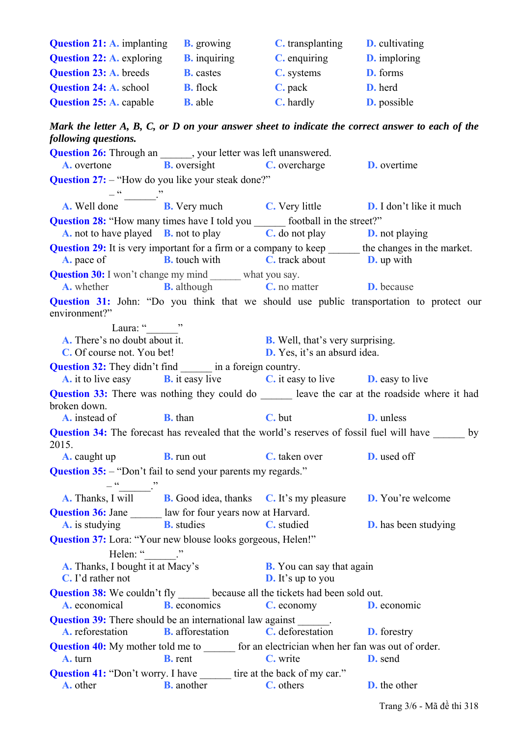| <b>Question 21: A. implanting</b> | <b>B.</b> growing   | <b>C.</b> transplanting | <b>D.</b> cultivating |
|-----------------------------------|---------------------|-------------------------|-----------------------|
| <b>Question 22: A. exploring</b>  | <b>B.</b> inquiring | <b>C.</b> enquiring     | <b>D.</b> imploring   |
| <b>Question 23: A.</b> breeds     | <b>B.</b> castes    | C. systems              | D. forms              |
| <b>Question 24: A. school</b>     | <b>B.</b> flock     | $C.$ pack               | <b>D.</b> herd        |
| <b>Question 25: A. capable</b>    | <b>B.</b> able      | <b>C.</b> hardly        | <b>D.</b> possible    |

*Mark the letter A, B, C, or D on your answer sheet to indicate the correct answer to each of the following questions.* 

| <b>Question 26:</b> Through an _______, your letter was left unanswered.                                    | <b>A.</b> overtone <b>B.</b> oversight <b>C.</b> overcharge                                                                                                 |                                                              | <b>D.</b> overtime                                                                                  |
|-------------------------------------------------------------------------------------------------------------|-------------------------------------------------------------------------------------------------------------------------------------------------------------|--------------------------------------------------------------|-----------------------------------------------------------------------------------------------------|
| <b>Question 27:</b> - "How do you like your steak done?"                                                    |                                                                                                                                                             |                                                              |                                                                                                     |
|                                                                                                             | <b>A.</b> Well done $\overline{B}$ . Very much <b>C.</b> Very little <b>D.</b> I don't like it much                                                         |                                                              |                                                                                                     |
| <b>Question 28:</b> "How many times have I told you ________ football in the street?"                       |                                                                                                                                                             |                                                              |                                                                                                     |
|                                                                                                             | <b>A.</b> not to have played <b>B.</b> not to play <b>C.</b> do not play <b>D.</b> not playing                                                              |                                                              |                                                                                                     |
| <b>Question 29:</b> It is very important for a firm or a company to keep _______ the changes in the market. | <b>A.</b> pace of <b>B.</b> touch with <b>C.</b> track about <b>D.</b> up with                                                                              |                                                              |                                                                                                     |
| <b>Question 30:</b> I won't change my mind _______ what you say.                                            |                                                                                                                                                             |                                                              |                                                                                                     |
|                                                                                                             | <b>A.</b> whether <b>B.</b> although <b>C.</b> no matter <b>D.</b> because                                                                                  |                                                              |                                                                                                     |
| environment?"                                                                                               |                                                                                                                                                             |                                                              | <b>Question 31:</b> John: "Do you think that we should use public transportation to protect our     |
| Laura: " "                                                                                                  |                                                                                                                                                             |                                                              |                                                                                                     |
|                                                                                                             | <b>A.</b> There's no doubt about it.<br><b>B.</b> Well, that's very surprising.<br><b>C.</b> Of course not. You bet!<br><b>D.</b> Yes, it's an absurd idea. |                                                              |                                                                                                     |
| <b>Question 32:</b> They didn't find ________ in a foreign country.                                         |                                                                                                                                                             |                                                              |                                                                                                     |
|                                                                                                             | <b>A.</b> it to live easy <b>B.</b> it easy live <b>C.</b> it easy to live <b>D.</b> easy to live                                                           |                                                              |                                                                                                     |
|                                                                                                             |                                                                                                                                                             |                                                              | Question 33: There was nothing they could do _______ leave the car at the roadside where it had     |
| broken down.                                                                                                |                                                                                                                                                             |                                                              |                                                                                                     |
|                                                                                                             | <b>A.</b> instead of <b>B.</b> than <b>C.</b> but                                                                                                           | <b>D.</b> unless                                             |                                                                                                     |
| 2015.                                                                                                       |                                                                                                                                                             |                                                              | <b>Question 34:</b> The forecast has revealed that the world's reserves of fossil fuel will have by |
|                                                                                                             | <b>A.</b> caught up <b>B.</b> run out <b>C.</b> taken over <b>D.</b> used off                                                                               |                                                              |                                                                                                     |
| <b>Question 35:</b> - "Don't fail to send your parents my regards."<br>$-\frac{a}{\cdots}$ .                |                                                                                                                                                             |                                                              |                                                                                                     |
|                                                                                                             | A. Thanks, I will <b>B.</b> Good idea, thanks <b>C.</b> It's my pleasure <b>D.</b> You're welcome                                                           |                                                              |                                                                                                     |
| <b>Question 36:</b> Jane _______ law for four years now at Harvard.                                         | <b>A.</b> is studying <b>B.</b> studies <b>C.</b> studied <b>D.</b> has been studying                                                                       |                                                              |                                                                                                     |
| Question 37: Lora: "Your new blouse looks gorgeous, Helen!"                                                 |                                                                                                                                                             |                                                              |                                                                                                     |
| Helen: " $\qquad$ ."                                                                                        |                                                                                                                                                             |                                                              |                                                                                                     |
| A. Thanks, I bought it at Macy's<br><b>C.</b> I'd rather not                                                |                                                                                                                                                             | <b>B.</b> You can say that again<br><b>D.</b> It's up to you |                                                                                                     |
| <b>Question 38:</b> We couldn't fly _______ because all the tickets had been sold out.                      |                                                                                                                                                             |                                                              |                                                                                                     |
| A. economical                                                                                               | <b>B.</b> economics                                                                                                                                         | C. economy                                                   | <b>D.</b> economic                                                                                  |
| <b>Question 39:</b> There should be an international law against ______.<br>A. reforestation                | <b>B.</b> afforestation                                                                                                                                     | C. deforestation                                             | <b>D.</b> forestry                                                                                  |
| <b>Question 40:</b> My mother told me to _______ for an electrician when her fan was out of order.          |                                                                                                                                                             |                                                              |                                                                                                     |
| A. turn                                                                                                     | <b>B.</b> rent                                                                                                                                              | C. write                                                     | <b>D.</b> send                                                                                      |
| <b>Question 41:</b> "Don't worry. I have _______ tire at the back of my car."<br>A. other                   | <b>B.</b> another                                                                                                                                           | C. others                                                    | <b>D.</b> the other                                                                                 |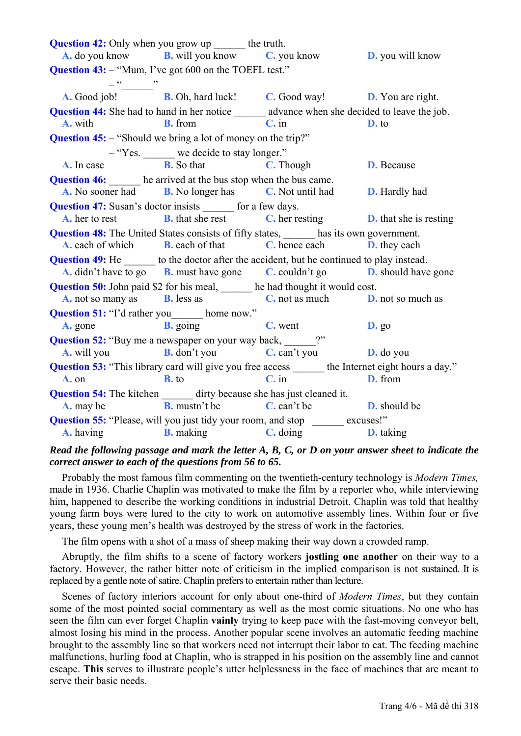**Question 42:** Only when you grow up the truth. **A.** do you know **B.** will you know **C.** you know **D.** you will know **Question 43:** – "Mum, I've got 600 on the TOEFL test."  $-\frac{1}{2}$   $-\frac{1}{2}$   $\frac{1}{2}$   $\frac{1}{2}$   $\frac{1}{2}$   $\frac{1}{2}$   $\frac{1}{2}$   $\frac{1}{2}$   $\frac{1}{2}$   $\frac{1}{2}$   $\frac{1}{2}$   $\frac{1}{2}$   $\frac{1}{2}$   $\frac{1}{2}$   $\frac{1}{2}$   $\frac{1}{2}$   $\frac{1}{2}$   $\frac{1}{2}$   $\frac{1}{2}$   $\frac{1}{2}$   $\frac{1}{2}$   $\frac{1}{2}$  **A.** Good job! **B.** Oh, hard luck! **C.** Good way! **D.** You are right. **Question 44:** She had to hand in her notice advance when she decided to leave the job. **A.** with **B.** from **C.** in **D.** to **Question 45:** – "Should we bring a lot of money on the trip?" – "Yes. we decide to stay longer." **A.** In case **B.** So that **C.** Though **D.** Because **Question 46:** he arrived at the bus stop when the bus came. **A.** No sooner had **B.** No longer has **C.** Not until had **D.** Hardly had **Question 47:** Susan's doctor insists for a few days. **A.** her to rest **B.** that she rest **C.** her resting **D.** that she is resting **Question 48:** The United States consists of fifty states, has its own government. **A.** each of which **B.** each of that **C.** hence each **D.** they each **Question 49:** He to the doctor after the accident, but he continued to play instead. **A.** didn't have to go **B.** must have gone **C.** couldn't go **D.** should have gone **Question 50:** John paid \$2 for his meal, he had thought it would cost. **A.** not so many as **B.** less as **C.** not as much **D.** not so much as **Question 51:** "I'd rather you home now." **A.** gone **B.** going **C.** went **D.** go **Question 52:** "Buy me a newspaper on your way back, \_\_\_\_\_\_?" **A.** will you **B.** don't you **C.** can't you **D.** do you **Question 53:** "This library card will give you free access \_\_\_\_\_\_\_ the Internet eight hours a day." **A.** on **B.** to **C.** in **D.** from **Question 54:** The kitchen \_\_\_\_\_\_\_ dirty because she has just cleaned it. **A.** may be **B.** mustn't be **C.** can't be **D.** should be **Question 55:** "Please, will you just tidy your room, and stop \_\_\_\_\_\_ excuses!" **A.** having **B.** making **C.** doing **D.** taking

### *Read the following passage and mark the letter A, B, C, or D on your answer sheet to indicate the correct answer to each of the questions from 56 to 65.*

Probably the most famous film commenting on the twentieth-century technology is *Modern Times,* made in 1936. Charlie Chaplin was motivated to make the film by a reporter who, while interviewing him, happened to describe the working conditions in industrial Detroit. Chaplin was told that healthy young farm boys were lured to the city to work on automotive assembly lines. Within four or five years, these young men's health was destroyed by the stress of work in the factories.

The film opens with a shot of a mass of sheep making their way down a crowded ramp.

Abruptly, the film shifts to a scene of factory workers **jostling one another** on their way to a factory. However, the rather bitter note of criticism in the implied comparison is not sustained. It is replaced by a gentle note of satire. Chaplin prefers to entertain rather than lecture.

Scenes of factory interiors account for only about one-third of *Modern Times*, but they contain some of the most pointed social commentary as well as the most comic situations. No one who has seen the film can ever forget Chaplin **vainly** trying to keep pace with the fast-moving conveyor belt, almost losing his mind in the process. Another popular scene involves an automatic feeding machine brought to the assembly line so that workers need not interrupt their labor to eat. The feeding machine malfunctions, hurling food at Chaplin, who is strapped in his position on the assembly line and cannot escape. **This** serves to illustrate people's utter helplessness in the face of machines that are meant to serve their basic needs.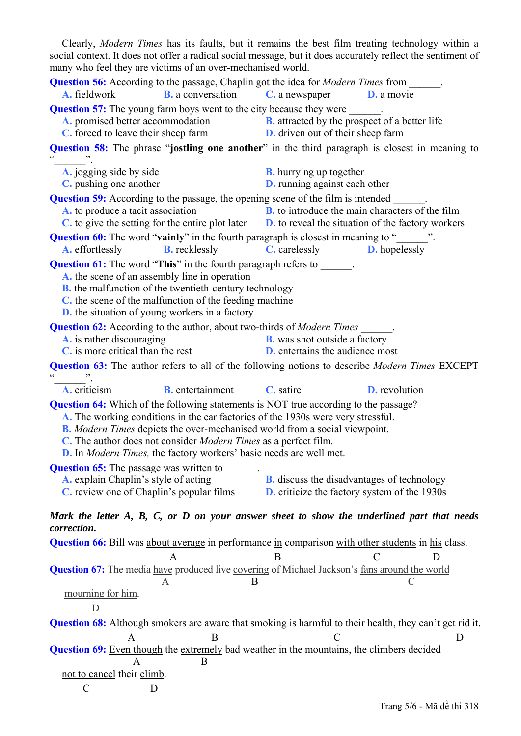Clearly, *Modern Times* has its faults, but it remains the best film treating technology within a social context. It does not offer a radical social message, but it does accurately reflect the sentiment of many who feel they are victims of an over-mechanised world.

| <b>Question 56:</b> According to the passage, Chaplin got the idea for <i>Modern Times</i> from<br><b>A.</b> fieldwork<br><b>B.</b> a conversation                                                                                                                                                                                                                                                                                  | C. a newspaper<br><b>D.</b> a movie                                                                                                                              |  |
|-------------------------------------------------------------------------------------------------------------------------------------------------------------------------------------------------------------------------------------------------------------------------------------------------------------------------------------------------------------------------------------------------------------------------------------|------------------------------------------------------------------------------------------------------------------------------------------------------------------|--|
| <b>Question 57:</b> The young farm boys went to the city because they were _______.<br>A. promised better accommodation<br>C. forced to leave their sheep farm                                                                                                                                                                                                                                                                      | <b>B.</b> attracted by the prospect of a better life<br><b>D.</b> driven out of their sheep farm                                                                 |  |
| $\epsilon$                                                                                                                                                                                                                                                                                                                                                                                                                          | <b>Question 58:</b> The phrase "jostling one another" in the third paragraph is closest in meaning to                                                            |  |
| A. jogging side by side<br>C. pushing one another                                                                                                                                                                                                                                                                                                                                                                                   | <b>B.</b> hurrying up together<br><b>D.</b> running against each other                                                                                           |  |
| <b>Question 59:</b> According to the passage, the opening scene of the film is intended<br>A. to produce a tacit association                                                                                                                                                                                                                                                                                                        | <b>B.</b> to introduce the main characters of the film<br>$C$ to give the setting for the entire plot later $D$ , to reveal the situation of the factory workers |  |
| Question 60: The word "vainly" in the fourth paragraph is closest in meaning to "______".<br><b>A.</b> effortlessly<br><b>B.</b> recklessly                                                                                                                                                                                                                                                                                         | <b>C.</b> carelessly <b>D.</b> hopelessly                                                                                                                        |  |
| <b>Question 61:</b> The word "This" in the fourth paragraph refers to ______.<br>A, the scene of an assembly line in operation<br><b>B.</b> the malfunction of the twentieth-century technology<br>C, the scene of the malfunction of the feeding machine<br><b>D.</b> the situation of young workers in a factory                                                                                                                  |                                                                                                                                                                  |  |
| <b>Question 62:</b> According to the author, about two-thirds of <i>Modern Times</i><br>A. is rather discouraging<br><b>C</b> , is more critical than the rest                                                                                                                                                                                                                                                                      | <b>B.</b> was shot outside a factory<br><b>D.</b> entertains the audience most                                                                                   |  |
|                                                                                                                                                                                                                                                                                                                                                                                                                                     | <b>Question 63:</b> The author refers to all of the following notions to describe <i>Modern Times</i> EXCEPT                                                     |  |
| <b>B.</b> entertainment<br>A. criticism                                                                                                                                                                                                                                                                                                                                                                                             | C. satire<br><b>D.</b> revolution                                                                                                                                |  |
| <b>Question 64:</b> Which of the following statements is NOT true according to the passage?<br>A. The working conditions in the car factories of the 1930s were very stressful.<br><b>B.</b> Modern Times depicts the over-mechanised world from a social viewpoint.<br>C. The author does not consider <i>Modern Times</i> as a perfect film.<br><b>D.</b> In <i>Modern Times</i> , the factory workers' basic needs are well met. |                                                                                                                                                                  |  |
| <b>Question 65:</b> The passage was written to _______<br>A. explain Chaplin's style of acting<br>C. review one of Chaplin's popular films                                                                                                                                                                                                                                                                                          | <b>B.</b> discuss the disadvantages of technology<br><b>D.</b> criticize the factory system of the 1930s                                                         |  |
| correction.                                                                                                                                                                                                                                                                                                                                                                                                                         | Mark the letter A, B, C, or D on your answer sheet to show the underlined part that needs                                                                        |  |
| Question 66: Bill was about average in performance in comparison with other students in his class.                                                                                                                                                                                                                                                                                                                                  | B                                                                                                                                                                |  |
| Question 67: The media have produced live covering of Michael Jackson's fans around the world<br>B<br>A                                                                                                                                                                                                                                                                                                                             |                                                                                                                                                                  |  |
| mourning for him.<br>D                                                                                                                                                                                                                                                                                                                                                                                                              |                                                                                                                                                                  |  |
| A<br>B<br><b>Question 69:</b> Even though the extremely bad weather in the mountains, the climbers decided<br>В                                                                                                                                                                                                                                                                                                                     | <b>Question 68:</b> Although smokers are aware that smoking is harmful to their health, they can't get rid it.<br>D                                              |  |
| not to cancel their climb.                                                                                                                                                                                                                                                                                                                                                                                                          |                                                                                                                                                                  |  |
| $\mathcal C$<br>D                                                                                                                                                                                                                                                                                                                                                                                                                   |                                                                                                                                                                  |  |